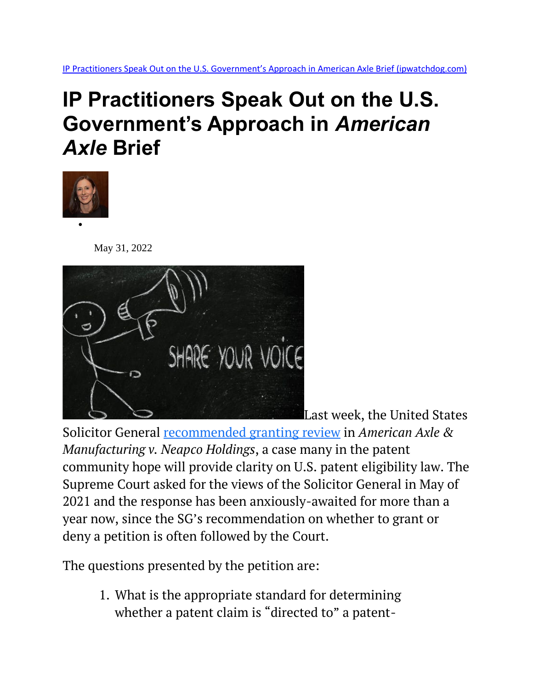## **IP Practitioners Speak Out on the U.S. Government's Approach in** *American Axle* **Brief**



May 31, 2022



[L](https://depositphotos.com/45255055/stock-photo-funny-man-with-megaphone-share.html)ast week, the United States

Solicitor General [recommended granting review](https://www.ipwatchdog.com/2022/05/24/solicitor-general-tells-scotus-cafc-got-wrong-american-axle-recommends-granting/id=149248/) in *American Axle & Manufacturing v. Neapco Holdings*, a case many in the patent community hope will provide clarity on U.S. patent eligibility law. The Supreme Court asked for the views of the Solicitor General in May of 2021 and the response has been anxiously-awaited for more than a year now, since the SG's recommendation on whether to grant or deny a petition is often followed by the Court.

The questions presented by the petition are:

1. What is the appropriate standard for determining whether a patent claim is "directed to" a patent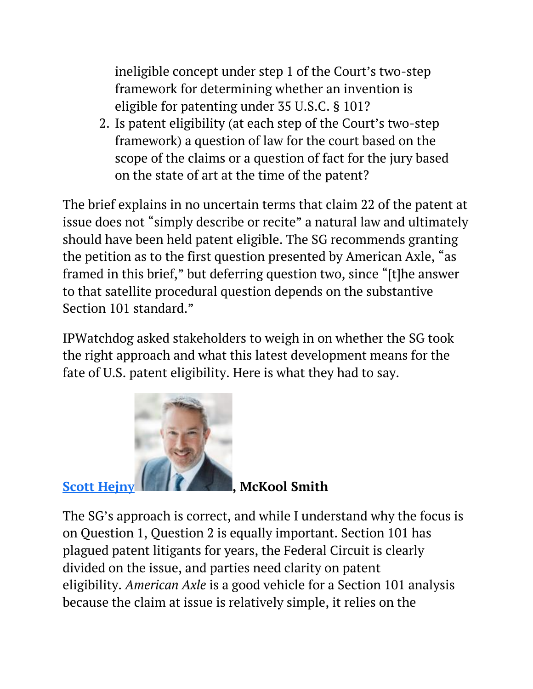ineligible concept under step 1 of the Court's two-step framework for determining whether an invention is eligible for patenting under 35 U.S.C. § 101?

2. Is patent eligibility (at each step of the Court's two-step framework) a question of law for the court based on the scope of the claims or a question of fact for the jury based on the state of art at the time of the patent?

The brief explains in no uncertain terms that claim 22 of the patent at issue does not "simply describe or recite" a natural law and ultimately should have been held patent eligible. The SG recommends granting the petition as to the first question presented by American Axle, "as framed in this brief," but deferring question two, since "[t]he answer to that satellite procedural question depends on the substantive Section 101 standard."

IPWatchdog asked stakeholders to weigh in on whether the SG took the right approach and what this latest development means for the fate of U.S. patent eligibility. Here is what they had to say.



The SG's approach is correct, and while I understand why the focus is on Question 1, Question 2 is equally important. Section 101 has plagued patent litigants for years, the Federal Circuit is clearly divided on the issue, and parties need clarity on patent eligibility. *American Axle* is a good vehicle for a Section 101 analysis because the claim at issue is relatively simple, it relies on the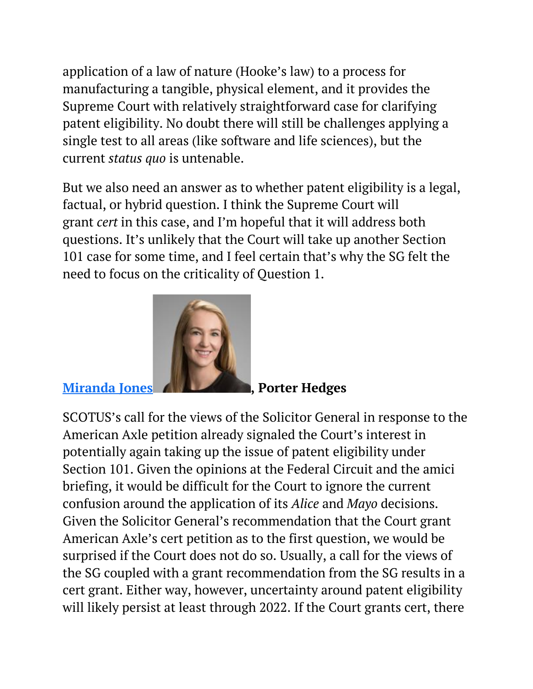application of a law of nature (Hooke's law) to a process for manufacturing a tangible, physical element, and it provides the Supreme Court with relatively straightforward case for clarifying patent eligibility. No doubt there will still be challenges applying a single test to all areas (like software and life sciences), but the current *status quo* is untenable.

But we also need an answer as to whether patent eligibility is a legal, factual, or hybrid question. I think the Supreme Court will grant *cert* in this case, and I'm hopeful that it will address both questions. It's unlikely that the Court will take up another Section 101 case for some time, and I feel certain that's why the SG felt the need to focus on the criticality of Question 1.



**[Miranda Jones](https://www.porterhedges.com/professionals-MirandaYJones) , Porter Hedges**

SCOTUS's call for the views of the Solicitor General in response to the American Axle petition already signaled the Court's interest in potentially again taking up the issue of patent eligibility under Section 101. Given the opinions at the Federal Circuit and the amici briefing, it would be difficult for the Court to ignore the current confusion around the application of its *Alice* and *Mayo* decisions. Given the Solicitor General's recommendation that the Court grant American Axle's cert petition as to the first question, we would be surprised if the Court does not do so. Usually, a call for the views of the SG coupled with a grant recommendation from the SG results in a cert grant. Either way, however, uncertainty around patent eligibility will likely persist at least through 2022. If the Court grants cert, there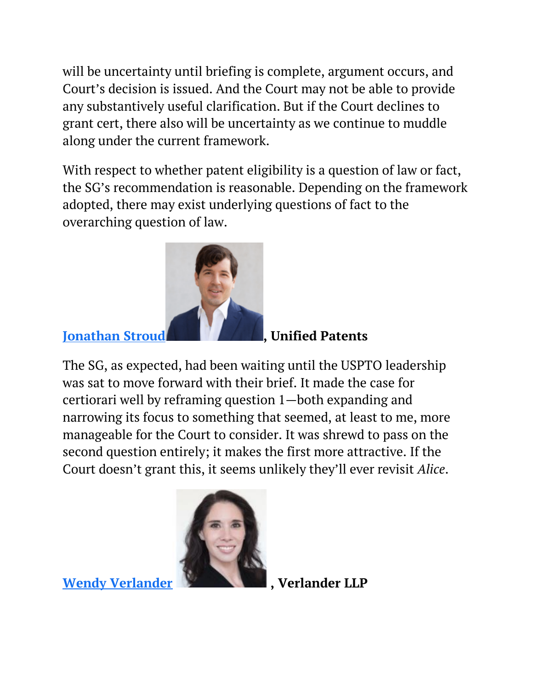will be uncertainty until briefing is complete, argument occurs, and Court's decision is issued. And the Court may not be able to provide any substantively useful clarification. But if the Court declines to grant cert, there also will be uncertainty as we continue to muddle along under the current framework.

With respect to whether patent eligibility is a question of law or fact, the SG's recommendation is reasonable. Depending on the framework adopted, there may exist underlying questions of fact to the overarching question of law.



**[Jonathan Stroud](https://www.ipwatchdog.com/people/jonathan-stroud/) [,](https://www.ipwatchdog.com/people/jonathan-stroud/) Unified Patents**

The SG, as expected, had been waiting until the USPTO leadership was sat to move forward with their brief. It made the case for certiorari well by reframing question 1—both expanding and narrowing its focus to something that seemed, at least to me, more manageable for the Court to consider. It was shrewd to pass on the second question entirely; it makes the first more attractive. If the Court doesn't grant this, it seems unlikely they'll ever revisit *Alice*.



**[Wendy Verlander](https://verlanderllp.com/leadership/wendy-verlander/) [,](https://verlanderllp.com/leadership/wendy-verlander/) Verlander LLP**